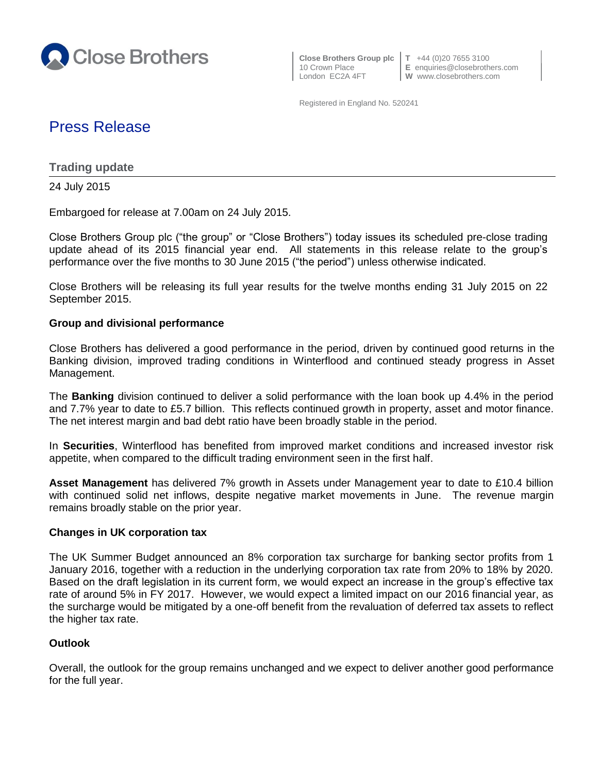

 **Close Brothers Group plc T** +44 (0)20 7655 3100 London EC2A 4FT **W** www.closebrothers.com

10 Crown Place **E** enquiries@closebrothers.com

Registered in England No. 520241

# Press Release

**Trading update**

24 July 2015

Embargoed for release at 7.00am on 24 July 2015.

Close Brothers Group plc ("the group" or "Close Brothers") today issues its scheduled pre-close trading update ahead of its 2015 financial year end. All statements in this release relate to the group's performance over the five months to 30 June 2015 ("the period") unless otherwise indicated.

Close Brothers will be releasing its full year results for the twelve months ending 31 July 2015 on 22 September 2015.

#### **Group and divisional performance**

Close Brothers has delivered a good performance in the period, driven by continued good returns in the Banking division, improved trading conditions in Winterflood and continued steady progress in Asset Management.

The **Banking** division continued to deliver a solid performance with the loan book up 4.4% in the period and 7.7% year to date to £5.7 billion. This reflects continued growth in property, asset and motor finance. The net interest margin and bad debt ratio have been broadly stable in the period.

In **Securities**, Winterflood has benefited from improved market conditions and increased investor risk appetite, when compared to the difficult trading environment seen in the first half.

**Asset Management** has delivered 7% growth in Assets under Management year to date to £10.4 billion with continued solid net inflows, despite negative market movements in June. The revenue margin remains broadly stable on the prior year.

## **Changes in UK corporation tax**

The UK Summer Budget announced an 8% corporation tax surcharge for banking sector profits from 1 January 2016, together with a reduction in the underlying corporation tax rate from 20% to 18% by 2020. Based on the draft legislation in its current form, we would expect an increase in the group's effective tax rate of around 5% in FY 2017. However, we would expect a limited impact on our 2016 financial year, as the surcharge would be mitigated by a one-off benefit from the revaluation of deferred tax assets to reflect the higher tax rate.

## **Outlook**

Overall, the outlook for the group remains unchanged and we expect to deliver another good performance for the full year.